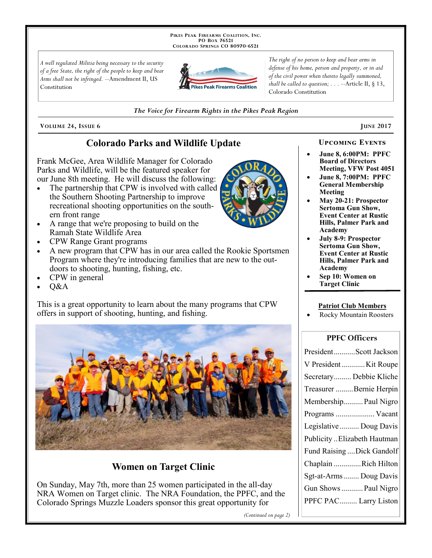PIKES PEAK FIREARMS COALITION, INC. PO Box 76521 COLORADO SPRINGS CO 80970-6521

A well regulated Militia being necessary to the security of a free State, the right of the people to keep and bear Arms shall not be infringed. --Amendment II, US Constitution



The right of no person to keep and bear arms in defense of his home, person and property, or in aid of the civil power when thereto legally summoned, shall be called to question;  $\ldots$  --Article II, § 13, Colorado Constitution

#### The Voice for Firearm Rights in the Pikes Peak Region

VOLUME 24, ISSUE 6

# **Colorado Parks and Wildlife Update**

Frank McGee, Area Wildlife Manager for Colorado Parks and Wildlife, will be the featured speaker for our June 8th meeting. He will discuss the following:

- The partnership that CPW is involved with called  $\bullet$ the Southern Shooting Partnership to improve recreational shooting opportunities on the southern front range
- A range that we're proposing to build on the Ramah State Wildlife Area
- CPW Range Grant programs
- A new program that CPW has in our area called the Rookie Sportsmen Program where they're introducing families that are new to the outdoors to shooting, hunting, fishing, etc.
- CPW in general
- O&A

This is a great opportunity to learn about the many programs that CPW offers in support of shooting, hunting, and fishing.



# **Women on Target Clinic**

On Sunday, May 7th, more than 25 women participated in the all-day NRA Women on Target clinic. The NRA Foundation, the PPFC, and the Colorado Springs Muzzle Loaders sponsor this great opportunity for

(Continued on page 2)

#### **UPCOMING EVENTS**

**JUNE 2017** 

- **June 8, 6:00PM: PPFC Board of Directors Meeting, VFW Post 4051**
- **June 8, 7:00PM: PPFC General Membership** Meeting
- May 20-21: Prospector **Sertoma Gun Show, Event Center at Rustic** Hills, Palmer Park and Academy
- **July 8-9: Prospector Sertoma Gun Show, Event Center at Rustic** Hills, Palmer Park and **Academy**
- Sep 10: Women on **Target Clinic**

#### **Patriot Club Members**

**Rocky Mountain Roosters** 

### **PPFC Officers**